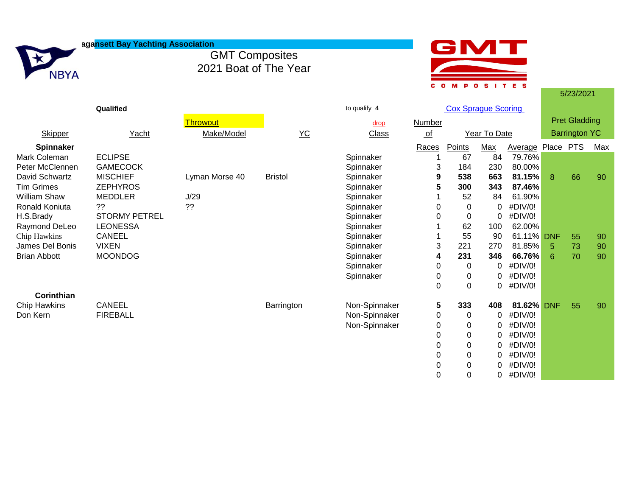|                     | agansett Bay Yachting Association |                                                |                              |               |                       |                            |                    |                |       |                      |     |
|---------------------|-----------------------------------|------------------------------------------------|------------------------------|---------------|-----------------------|----------------------------|--------------------|----------------|-------|----------------------|-----|
| <b>NBYA</b>         |                                   | <b>GMT Composites</b><br>2021 Boat of The Year |                              |               |                       |                            |                    |                |       |                      |     |
|                     |                                   |                                                |                              |               | c o                   | M<br>Ð                     | S I T<br>$\bullet$ | E S            |       | 5/23/2021            |     |
|                     | Qualified                         |                                                |                              | to qualify 4  |                       | <b>Cox Sprague Scoring</b> |                    |                |       |                      |     |
|                     |                                   | <b>Throwout</b>                                |                              | drop          | <b>Number</b>         |                            |                    |                |       | <b>Pret Gladding</b> |     |
| <b>Skipper</b>      | Yacht                             | Make/Model                                     | $\underline{Y}\underline{C}$ | <b>Class</b>  | $\underline{\circ f}$ |                            | Year To Date       |                |       | <b>Barrington YC</b> |     |
| Spinnaker           |                                   |                                                |                              |               | Races                 | Points                     | <b>Max</b>         | <b>Average</b> | Place | <b>PTS</b>           | Max |
| <b>Mark Coleman</b> | <b>ECLIPSE</b>                    |                                                |                              | Spinnaker     |                       | 67                         | 84                 | 79.76%         |       |                      |     |
| Peter McClennen     | <b>GAMECOCK</b>                   |                                                |                              | Spinnaker     | 3                     | 184                        | 230                | 80.00%         |       |                      |     |
| David Schwartz      | <b>MISCHIEF</b>                   | Lyman Morse 40                                 | <b>Bristol</b>               | Spinnaker     | 9                     | 538                        | 663                | 81.15%         | 8     | 66                   | 90  |
| <b>Tim Grimes</b>   | <b>ZEPHYROS</b>                   |                                                |                              | Spinnaker     | 5                     | 300                        | 343                | 87.46%         |       |                      |     |
| William Shaw        | <b>MEDDLER</b>                    | J/29                                           |                              | Spinnaker     |                       | 52                         | 84                 | 61.90%         |       |                      |     |
| Ronald Koniuta      | ??                                | ??                                             |                              | Spinnaker     | 0                     | $\Omega$                   | 0                  | #DIV/0!        |       |                      |     |
| H.S.Brady           | <b>STORMY PETREL</b>              |                                                |                              | Spinnaker     | 0                     | 0                          | 0                  | #DIV/0!        |       |                      |     |
| Raymond DeLeo       | <b>LEONESSA</b>                   |                                                |                              | Spinnaker     |                       | 62                         | 100                | 62.00%         |       |                      |     |
| Chip Hawkins        | <b>CANEEL</b>                     |                                                |                              | Spinnaker     |                       | 55                         | 90                 | 61.11% DNF     |       | 55                   | 90  |
| James Del Bonis     | <b>VIXEN</b>                      |                                                |                              | Spinnaker     | 3                     | 221                        | 270                | 81.85%         | -5    | 73                   | 90  |
| <b>Brian Abbott</b> | <b>MOONDOG</b>                    |                                                |                              | Spinnaker     | 4                     | 231                        | 346                | 66.76%         | 6     | 70                   | 90  |
|                     |                                   |                                                |                              | Spinnaker     | 0                     | 0                          | 0                  | #DIV/0!        |       |                      |     |
|                     |                                   |                                                |                              | Spinnaker     | 0                     | 0                          | 0                  | #DIV/0!        |       |                      |     |
|                     |                                   |                                                |                              |               | $\Omega$              | $\Omega$                   | 0                  | #DIV/0!        |       |                      |     |
| Corinthian          |                                   |                                                |                              |               |                       |                            |                    |                |       |                      |     |
| Chip Hawkins        | <b>CANEEL</b>                     |                                                | Barrington                   | Non-Spinnaker | 5                     | 333                        | 408                | 81.62% DNF     |       | 55                   | 90  |

Don Kern FIREBALL FIREBALL FIREBALL THE CONSULTER SUBSEX Non-Spinnaker 0 0 0 0 #DIV/0!<br>Non-Spinnaker 0 0 0 #DIV/0!

Non-Spinnaker 0 0

0 0 0 #DIV/0! 0 0 0 #DIV/0! 0 0 0 #DIV/0! 0 0 0 #DIV/0! 0 0 0 #DIV/0!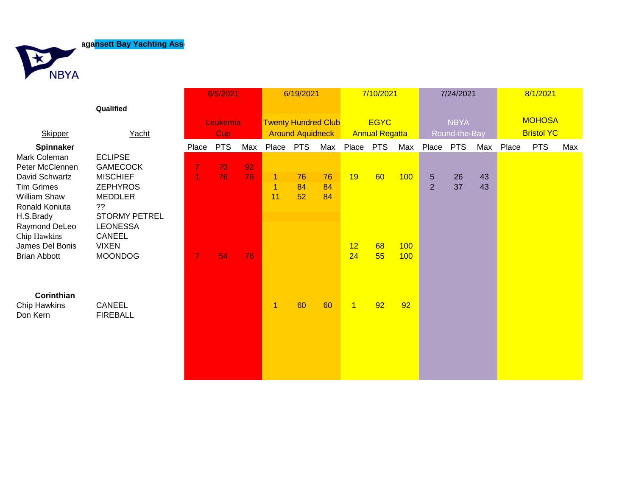**Aagansett Bay Yachting Ass** 



|                                       |                           | 6/5/2021       |            |     | 6/19/2021                  |            |          | 7/10/2021             |    |     | 7/24/2021      |            |     | 8/1/2021          |            |     |
|---------------------------------------|---------------------------|----------------|------------|-----|----------------------------|------------|----------|-----------------------|----|-----|----------------|------------|-----|-------------------|------------|-----|
|                                       | Qualified                 |                |            |     |                            |            |          |                       |    |     |                |            |     |                   |            |     |
|                                       |                           | Leukemia       |            |     | <b>Twenty Hundred Club</b> |            |          | <b>EGYC</b>           |    |     | <b>NBYA</b>    |            |     | <b>MOHOSA</b>     |            |     |
| <b>Skipper</b>                        | Yacht                     | Cup            |            |     | <b>Around Aquidneck</b>    |            |          | <b>Annual Regatta</b> |    |     | Round-the-Bay  |            |     | <b>Bristol YC</b> |            |     |
| Spinnaker                             |                           | Place          | <b>PTS</b> | Max | Place                      | <b>PTS</b> | Max      | Place PTS             |    | Max | Place          | <b>PTS</b> | Max | Place             | <b>PTS</b> | Max |
| Mark Coleman                          | <b>ECLIPSE</b>            |                |            |     |                            |            |          |                       |    |     |                |            |     |                   |            |     |
| Peter McClennen                       | <b>GAMECOCK</b>           | $\overline{7}$ | 70         | 92  |                            |            |          |                       |    |     |                |            |     |                   |            |     |
| David Schwartz                        | <b>MISCHIEF</b>           | 1              | 76         | 76  | $\mathbf{1}$               | 76         | 76       | 19                    | 60 | 100 | 5              | 26         | 43  |                   |            |     |
| <b>Tim Grimes</b>                     | <b>ZEPHYROS</b>           |                |            |     | $\overline{1}$<br>11       | 84<br>52   | 84<br>84 |                       |    |     | $\overline{2}$ | 37         | 43  |                   |            |     |
| <b>William Shaw</b><br>Ronald Koniuta | <b>MEDDLER</b><br>??      |                |            |     |                            |            |          |                       |    |     |                |            |     |                   |            |     |
| H.S.Brady                             | STORMY PETREL             |                |            |     |                            |            |          |                       |    |     |                |            |     |                   |            |     |
| Raymond DeLeo                         | <b>LEONESSA</b>           |                |            |     |                            |            |          |                       |    |     |                |            |     |                   |            |     |
| Chip Hawkins                          | <b>CANEEL</b>             |                |            |     |                            |            |          |                       |    |     |                |            |     |                   |            |     |
| James Del Bonis                       | <b>VIXEN</b>              |                |            |     |                            |            |          | 12                    | 68 | 100 |                |            |     |                   |            |     |
| <b>Brian Abbott</b>                   | <b>MOONDOG</b>            | $\overline{7}$ | 54         | 76  |                            |            |          | 24                    | 55 | 100 |                |            |     |                   |            |     |
|                                       |                           |                |            |     |                            |            |          |                       |    |     |                |            |     |                   |            |     |
|                                       |                           |                |            |     |                            |            |          |                       |    |     |                |            |     |                   |            |     |
|                                       |                           |                |            |     |                            |            |          |                       |    |     |                |            |     |                   |            |     |
| Corinthian                            |                           |                |            |     |                            |            |          |                       | 92 |     |                |            |     |                   |            |     |
| <b>Chip Hawkins</b><br>Don Kern       | CANEEL<br><b>FIREBALL</b> |                |            |     | 1                          | 60         | 60       | $\overline{1}$        |    | 92  |                |            |     |                   |            |     |
|                                       |                           |                |            |     |                            |            |          |                       |    |     |                |            |     |                   |            |     |
|                                       |                           |                |            |     |                            |            |          |                       |    |     |                |            |     |                   |            |     |
|                                       |                           |                |            |     |                            |            |          |                       |    |     |                |            |     |                   |            |     |
|                                       |                           |                |            |     |                            |            |          |                       |    |     |                |            |     |                   |            |     |
|                                       |                           |                |            |     |                            |            |          |                       |    |     |                |            |     |                   |            |     |
|                                       |                           |                |            |     |                            |            |          |                       |    |     |                |            |     |                   |            |     |